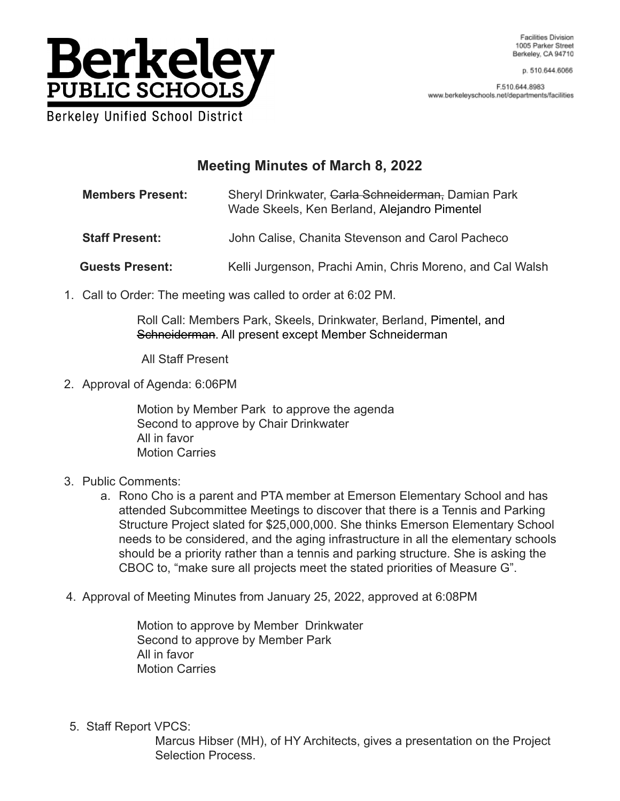

Facilities Division 1005 Parker Street Berkeley, CA 94710

p. 510.644.6066

F.510.644.8983 www.berkeleyschools.net/departments/facilities

## **Meeting Minutes of March 8, 2022**

**Members Present:** Sheryl Drinkwater, Carla Schneiderman, Damian Park Wade Skeels, Ken Berland, Alejandro Pimentel

**Staff Present:** John Calise, Chanita Stevenson and Carol Pacheco

**Guests Present:** Kelli Jurgenson, Prachi Amin, Chris Moreno, and Cal Walsh

1. Call to Order: The meeting was called to order at 6:02 PM.

Roll Call: Members Park, Skeels, Drinkwater, Berland, Pimentel, and Schneiderman. All present except Member Schneiderman

All Staff Present

2. Approval of Agenda: 6:06PM

Motion by Member Park to approve the agenda Second to approve by Chair Drinkwater All in favor Motion Carries

- 3. Public Comments:
	- a. Rono Cho is a parent and PTA member at Emerson Elementary School and has attended Subcommittee Meetings to discover that there is a Tennis and Parking Structure Project slated for \$25,000,000. She thinks Emerson Elementary School needs to be considered, and the aging infrastructure in all the elementary schools should be a priority rather than a tennis and parking structure. She is asking the CBOC to, "make sure all projects meet the stated priorities of Measure G".
- 4. Approval of Meeting Minutes from January 25, 2022, approved at 6:08PM

Motion to approve by Member Drinkwater Second to approve by Member Park All in favor Motion Carries

5. Staff Report VPCS:

Marcus Hibser (MH), of HY Architects, gives a presentation on the Project Selection Process.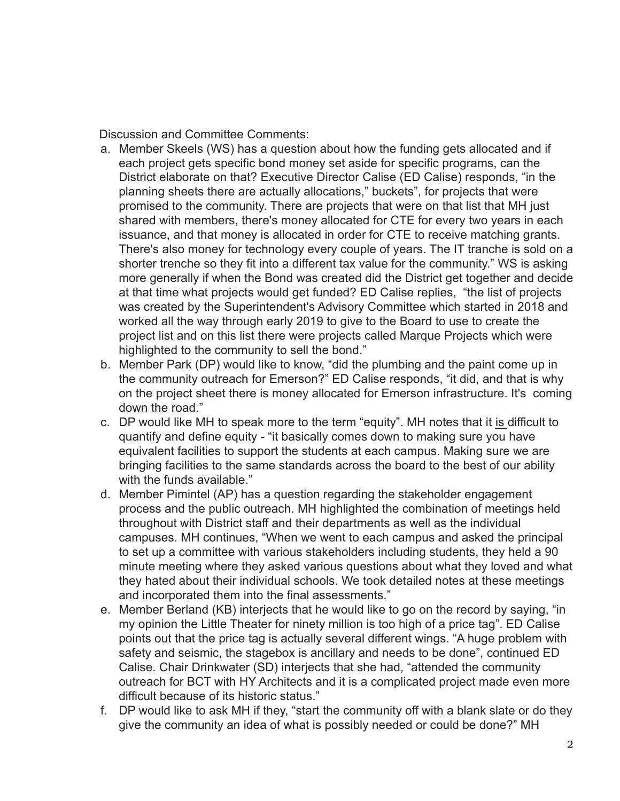Discussion and Committee Comments:

- a. Member Skeels (WS) has a question about how the funding gets allocated and if each project gets specific bond money set aside for specific programs, can the District elaborate on that? Executive Director Calise (ED Calise) responds, "in the planning sheets there are actually allocations," buckets", for projects that were promised to the community. There are projects that were on that list that MH just shared with members, there's money allocated for CTE for every two years in each issuance, and that money is allocated in order for CTE to receive matching grants. There's also money for technology every couple of years. The IT tranche is sold on a shorter trenche so they fit into a different tax value for the community." WS is asking more generally if when the Bond was created did the District get together and decide at that time what projects would get funded? ED Calise replies, "the list of projects was created by the Superintendent's Advisory Committee which started in 2018 and worked all the way through early 2019 to give to the Board to use to create the project list and on this list there were projects called Marque Projects which were highlighted to the community to sell the bond."
- b. Member Park (DP) would like to know, "did the plumbing and the paint come up in the community outreach for Emerson?" ED Calise responds, "it did, and that is why on the project sheet there is money allocated for Emerson infrastructure. It's coming down the road."
- c. DP would like MH to speak more to the term "equity". MH notes that it is difficult to quantify and define equity - "it basically comes down to making sure you have equivalent facilities to support the students at each campus. Making sure we are bringing facilities to the same standards across the board to the best of our ability with the funds available."
- d. Member Pimintel (AP) has a question regarding the stakeholder engagement process and the public outreach. MH highlighted the combination of meetings held throughout with District staff and their departments as well as the individual campuses. MH continues, "When we went to each campus and asked the principal to set up a committee with various stakeholders including students, they held a 90 minute meeting where they asked various questions about what they loved and what they hated about their individual schools. We took detailed notes at these meetings and incorporated them into the final assessments."
- e. Member Berland (KB) interjects that he would like to go on the record by saying, "in my opinion the Little Theater for ninety million is too high of a price tag". ED Calise points out that the price tag is actually several different wings. "A huge problem with safety and seismic, the stagebox is ancillary and needs to be done", continued ED Calise. Chair Drinkwater (SD) interjects that she had, "attended the community outreach for BCT with HY Architects and it is a complicated project made even more difficult because of its historic status."
- f. DP would like to ask MH if they, "start the community off with a blank slate or do they give the community an idea of what is possibly needed or could be done?" MH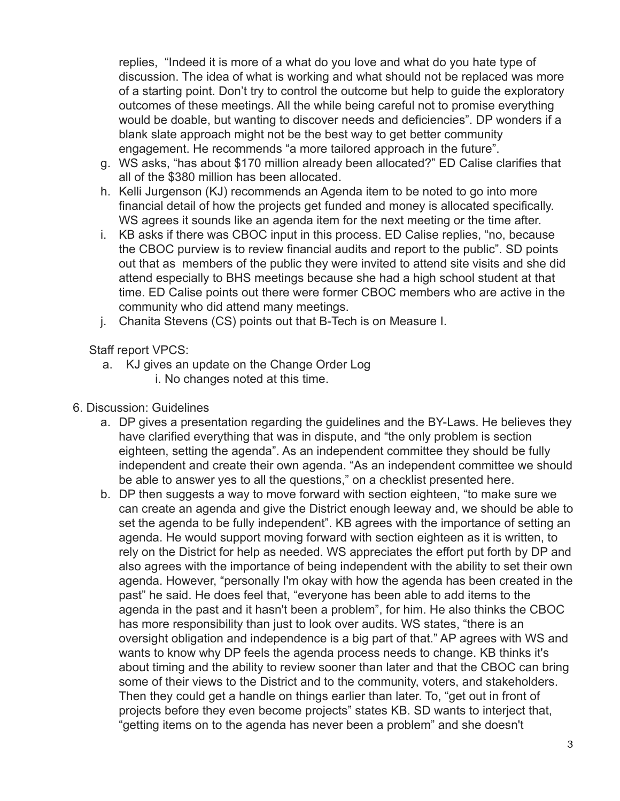replies, "Indeed it is more of a what do you love and what do you hate type of discussion. The idea of what is working and what should not be replaced was more of a starting point. Don't try to control the outcome but help to guide the exploratory outcomes of these meetings. All the while being careful not to promise everything would be doable, but wanting to discover needs and deficiencies". DP wonders if a blank slate approach might not be the best way to get better community engagement. He recommends "a more tailored approach in the future".

- g. WS asks, "has about \$170 million already been allocated?" ED Calise clarifies that all of the \$380 million has been allocated.
- h. Kelli Jurgenson (KJ) recommends an Agenda item to be noted to go into more financial detail of how the projects get funded and money is allocated specifically. WS agrees it sounds like an agenda item for the next meeting or the time after.
- i. KB asks if there was CBOC input in this process. ED Calise replies, "no, because the CBOC purview is to review financial audits and report to the public". SD points out that as members of the public they were invited to attend site visits and she did attend especially to BHS meetings because she had a high school student at that time. ED Calise points out there were former CBOC members who are active in the community who did attend many meetings.
- j. Chanita Stevens (CS) points out that B-Tech is on Measure I.

Staff report VPCS:

- a. KJ gives an update on the Change Order Log i. No changes noted at this time.
- 6. Discussion: Guidelines
	- a. DP gives a presentation regarding the guidelines and the BY-Laws. He believes they have clarified everything that was in dispute, and "the only problem is section eighteen, setting the agenda". As an independent committee they should be fully independent and create their own agenda. "As an independent committee we should be able to answer yes to all the questions," on a checklist presented here.
	- b. DP then suggests a way to move forward with section eighteen, "to make sure we can create an agenda and give the District enough leeway and, we should be able to set the agenda to be fully independent". KB agrees with the importance of setting an agenda. He would support moving forward with section eighteen as it is written, to rely on the District for help as needed. WS appreciates the effort put forth by DP and also agrees with the importance of being independent with the ability to set their own agenda. However, "personally I'm okay with how the agenda has been created in the past" he said. He does feel that, "everyone has been able to add items to the agenda in the past and it hasn't been a problem", for him. He also thinks the CBOC has more responsibility than just to look over audits. WS states, "there is an oversight obligation and independence is a big part of that." AP agrees with WS and wants to know why DP feels the agenda process needs to change. KB thinks it's about timing and the ability to review sooner than later and that the CBOC can bring some of their views to the District and to the community, voters, and stakeholders. Then they could get a handle on things earlier than later. To, "get out in front of projects before they even become projects" states KB. SD wants to interject that, "getting items on to the agenda has never been a problem" and she doesn't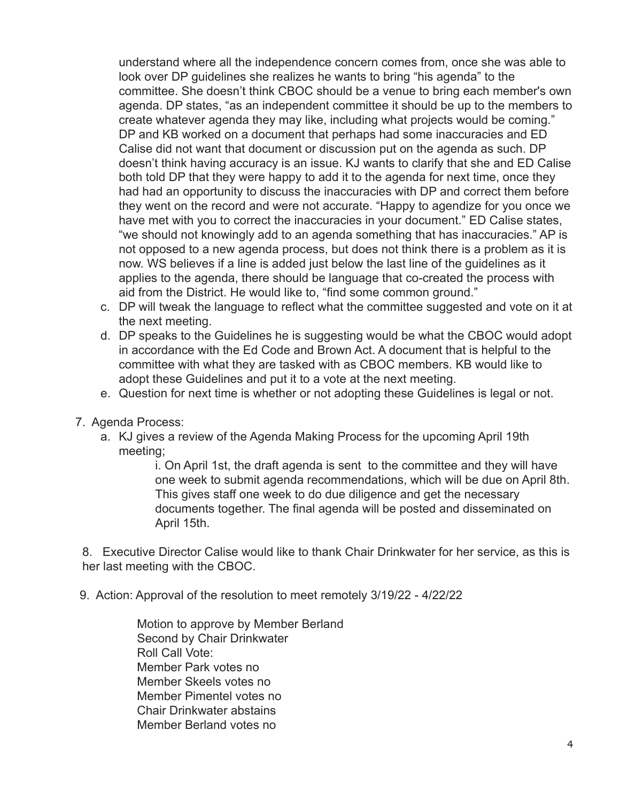understand where all the independence concern comes from, once she was able to look over DP guidelines she realizes he wants to bring "his agenda" to the committee. She doesn't think CBOC should be a venue to bring each member's own agenda. DP states, "as an independent committee it should be up to the members to create whatever agenda they may like, including what projects would be coming." DP and KB worked on a document that perhaps had some inaccuracies and ED Calise did not want that document or discussion put on the agenda as such. DP doesn't think having accuracy is an issue. KJ wants to clarify that she and ED Calise both told DP that they were happy to add it to the agenda for next time, once they had had an opportunity to discuss the inaccuracies with DP and correct them before they went on the record and were not accurate. "Happy to agendize for you once we have met with you to correct the inaccuracies in your document." ED Calise states, "we should not knowingly add to an agenda something that has inaccuracies." AP is not opposed to a new agenda process, but does not think there is a problem as it is now. WS believes if a line is added just below the last line of the guidelines as it applies to the agenda, there should be language that co-created the process with aid from the District. He would like to, "find some common ground."

- c. DP will tweak the language to reflect what the committee suggested and vote on it at the next meeting.
- d. DP speaks to the Guidelines he is suggesting would be what the CBOC would adopt in accordance with the Ed Code and Brown Act. A document that is helpful to the committee with what they are tasked with as CBOC members. KB would like to adopt these Guidelines and put it to a vote at the next meeting.
- e. Question for next time is whether or not adopting these Guidelines is legal or not.
- 7. Agenda Process:
	- a. KJ gives a review of the Agenda Making Process for the upcoming April 19th meeting;

i. On April 1st, the draft agenda is sent to the committee and they will have one week to submit agenda recommendations, which will be due on April 8th. This gives staff one week to do due diligence and get the necessary documents together. The final agenda will be posted and disseminated on April 15th.

8. Executive Director Calise would like to thank Chair Drinkwater for her service, as this is her last meeting with the CBOC.

9. Action: Approval of the resolution to meet remotely 3/19/22 - 4/22/22

Motion to approve by Member Berland Second by Chair Drinkwater Roll Call Vote: Member Park votes no Member Skeels votes no Member Pimentel votes no Chair Drinkwater abstains Member Berland votes no